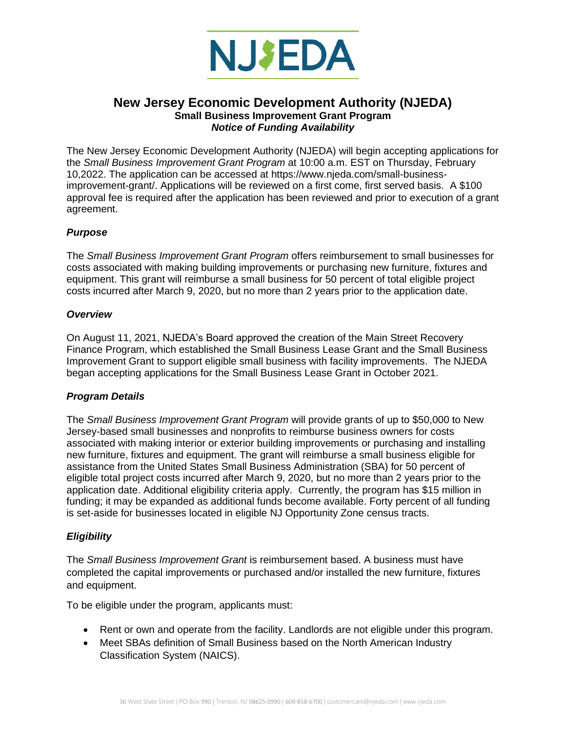

# **New Jersey Economic Development Authority (NJEDA) Small Business Improvement Grant Program** *Notice of Funding Availability*

The New Jersey Economic Development Authority (NJEDA) will begin accepting applications for the *Small Business Improvement Grant Program* at 10:00 a.m. EST on Thursday, February 10,2022. The application can be accessed at https://www.njeda.com/small-businessimprovement-grant/. Applications will be reviewed on a first come, first served basis. A \$100 approval fee is required after the application has been reviewed and prior to execution of a grant agreement.

## *Purpose*

The *Small Business Improvement Grant Program* offers reimbursement to small businesses for costs associated with making building improvements or purchasing new furniture, fixtures and equipment. This grant will reimburse a small business for 50 percent of total eligible project costs incurred after March 9, 2020, but no more than 2 years prior to the application date.

#### *Overview*

On August 11, 2021, NJEDA's Board approved the creation of the Main Street Recovery Finance Program, which established the Small Business Lease Grant and the Small Business Improvement Grant to support eligible small business with facility improvements. The NJEDA began accepting applications for the Small Business Lease Grant in October 2021.

## *Program Details*

The *Small Business Improvement Grant Program* will provide grants of up to \$50,000 to New Jersey-based small businesses and nonprofits to reimburse business owners for costs associated with making interior or exterior building improvements or purchasing and installing new furniture, fixtures and equipment. The grant will reimburse a small business eligible for assistance from the United States Small Business Administration (SBA) for 50 percent of eligible total project costs incurred after March 9, 2020, but no more than 2 years prior to the application date. Additional eligibility criteria apply. Currently, the program has \$15 million in funding; it may be expanded as additional funds become available. Forty percent of all funding is set-aside for businesses located in eligible NJ Opportunity Zone census tracts.

## *Eligibility*

The *Small Business Improvement Grant* is reimbursement based. A business must have completed the capital improvements or purchased and/or installed the new furniture, fixtures and equipment.

To be eligible under the program, applicants must:

- Rent or own and operate from the facility. Landlords are not eligible under this program.
- Meet SBAs definition of Small Business based on the North American Industry Classification System (NAICS).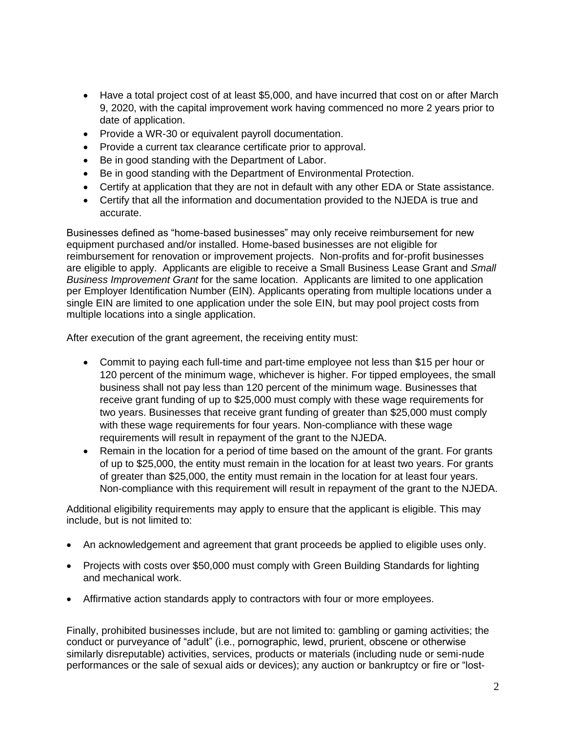- Have a total project cost of at least \$5,000, and have incurred that cost on or after March 9, 2020, with the capital improvement work having commenced no more 2 years prior to date of application.
- Provide a WR-30 or equivalent payroll documentation.
- Provide a current tax clearance certificate prior to approval.
- Be in good standing with the Department of Labor.
- Be in good standing with the Department of Environmental Protection.
- Certify at application that they are not in default with any other EDA or State assistance.
- Certify that all the information and documentation provided to the NJEDA is true and accurate.

Businesses defined as "home-based businesses" may only receive reimbursement for new equipment purchased and/or installed. Home-based businesses are not eligible for reimbursement for renovation or improvement projects. Non-profits and for-profit businesses are eligible to apply. Applicants are eligible to receive a Small Business Lease Grant and *Small Business Improvement Grant* for the same location. Applicants are limited to one application per Employer Identification Number (EIN). Applicants operating from multiple locations under a single EIN are limited to one application under the sole EIN, but may pool project costs from multiple locations into a single application.

After execution of the grant agreement, the receiving entity must:

- Commit to paying each full-time and part-time employee not less than \$15 per hour or 120 percent of the minimum wage, whichever is higher. For tipped employees, the small business shall not pay less than 120 percent of the minimum wage. Businesses that receive grant funding of up to \$25,000 must comply with these wage requirements for two years. Businesses that receive grant funding of greater than \$25,000 must comply with these wage requirements for four years. Non-compliance with these wage requirements will result in repayment of the grant to the NJEDA.
- Remain in the location for a period of time based on the amount of the grant. For grants of up to \$25,000, the entity must remain in the location for at least two years. For grants of greater than \$25,000, the entity must remain in the location for at least four years. Non-compliance with this requirement will result in repayment of the grant to the NJEDA.

Additional eligibility requirements may apply to ensure that the applicant is eligible. This may include, but is not limited to:

- An acknowledgement and agreement that grant proceeds be applied to eligible uses only.
- Projects with costs over \$50,000 must comply with Green Building Standards for lighting and mechanical work.
- Affirmative action standards apply to contractors with four or more employees.

Finally, prohibited businesses include, but are not limited to: gambling or gaming activities; the conduct or purveyance of "adult" (i.e., pornographic, lewd, prurient, obscene or otherwise similarly disreputable) activities, services, products or materials (including nude or semi-nude performances or the sale of sexual aids or devices); any auction or bankruptcy or fire or "lost